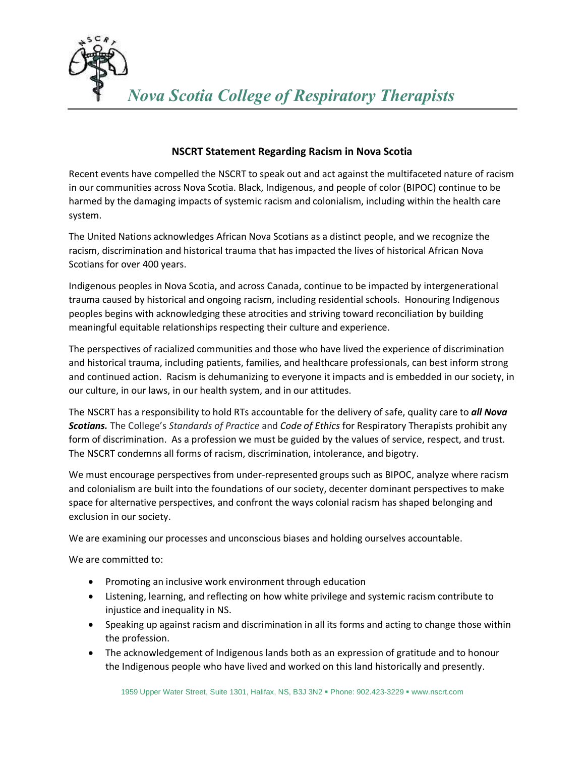

## **NSCRT Statement Regarding Racism in Nova Scotia**

Recent events have compelled the NSCRT to speak out and act against the multifaceted nature of racism in our communities across Nova Scotia. Black, Indigenous, and people of color (BIPOC) continue to be harmed by the damaging impacts of systemic racism and colonialism, including within the health care system.

The United Nations acknowledges African Nova Scotians as a distinct people, and we recognize the racism, discrimination and historical trauma that has impacted the lives of historical African Nova Scotians for over 400 years.

Indigenous peoples in Nova Scotia, and across Canada, continue to be impacted by intergenerational trauma caused by historical and ongoing racism, including residential schools. Honouring Indigenous peoples begins with acknowledging these atrocities and striving toward reconciliation by building meaningful equitable relationships respecting their culture and experience.

The perspectives of racialized communities and those who have lived the experience of discrimination and historical trauma, including patients, families, and healthcare professionals, can best inform strong and continued action. Racism is dehumanizing to everyone it impacts and is embedded in our society, in our culture, in our laws, in our health system, and in our attitudes.

The NSCRT has a responsibility to hold RTs accountable for the delivery of safe, quality care to *all Nova Scotians.* The College's *Standards of Practice* and *Code of Ethics* for Respiratory Therapists prohibit any form of discrimination. As a profession we must be guided by the values of service, respect, and trust. The NSCRT condemns all forms of racism, discrimination, intolerance, and bigotry.

We must encourage perspectives from under-represented groups such as BIPOC, analyze where racism and colonialism are built into the foundations of our society, decenter dominant perspectives to make space for alternative perspectives, and confront the ways colonial racism has shaped belonging and exclusion in our society.

We are examining our processes and unconscious biases and holding ourselves accountable.

We are committed to:

- Promoting an inclusive work environment through education
- Listening, learning, and reflecting on how white privilege and systemic racism contribute to injustice and inequality in NS.
- Speaking up against racism and discrimination in all its forms and acting to change those within the profession.
- The acknowledgement of Indigenous lands both as an expression of gratitude and to honour the Indigenous people who have lived and worked on this land historically and presently.